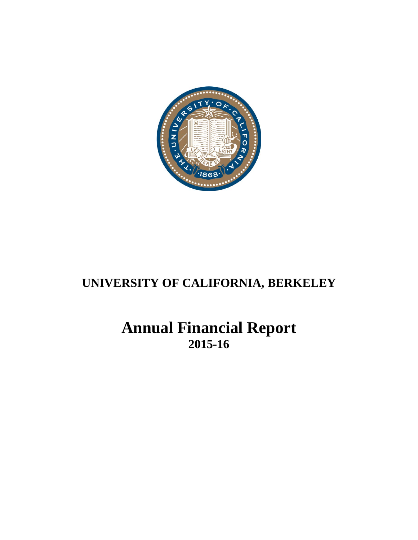

# **UNIVERSITY OF CALIFORNIA, BERKELEY**

# **Annual Financial Report 2015-16**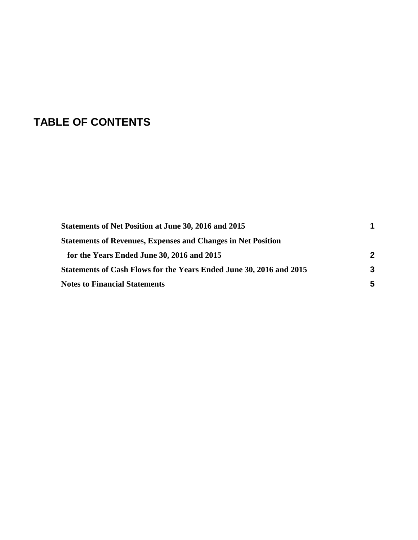# **TABLE OF CONTENTS**

| Statements of Net Position at June 30, 2016 and 2015                       |   |  |
|----------------------------------------------------------------------------|---|--|
| <b>Statements of Revenues, Expenses and Changes in Net Position</b>        |   |  |
| for the Years Ended June 30, 2016 and 2015                                 | 2 |  |
| <b>Statements of Cash Flows for the Years Ended June 30, 2016 and 2015</b> | 3 |  |
| <b>Notes to Financial Statements</b>                                       | 5 |  |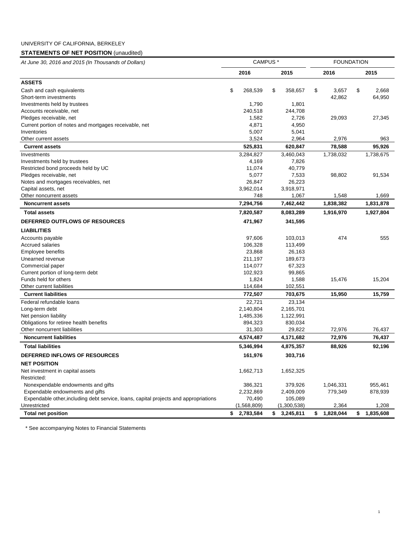# UNIVERSITY OF CALIFORNIA, BERKELEY

## **STATEMENTS OF NET POSITION** (unaudited)

| At June 30, 2016 and 2015 (In Thousands of Dollars)                                  | CAMPUS <sup>*</sup> |             |    |             |    | <b>FOUNDATION</b> |    |           |  |  |
|--------------------------------------------------------------------------------------|---------------------|-------------|----|-------------|----|-------------------|----|-----------|--|--|
|                                                                                      |                     | 2016        |    | 2015        |    | 2016              |    | 2015      |  |  |
| <b>ASSETS</b>                                                                        |                     |             |    |             |    |                   |    |           |  |  |
| Cash and cash equivalents                                                            | \$                  | 268,539     | \$ | 358,657     | \$ | 3,657             | \$ | 2,668     |  |  |
| Short-term investments                                                               |                     |             |    |             |    | 42,862            |    | 64,950    |  |  |
| Investments held by trustees                                                         |                     | 1,790       |    | 1,801       |    |                   |    |           |  |  |
| Accounts receivable, net                                                             |                     | 240,518     |    | 244,708     |    |                   |    |           |  |  |
| Pledges receivable, net                                                              |                     | 1,582       |    | 2,726       |    | 29,093            |    | 27,345    |  |  |
| Current portion of notes and mortgages receivable, net                               |                     | 4,871       |    | 4,950       |    |                   |    |           |  |  |
| Inventories                                                                          |                     | 5,007       |    | 5,041       |    |                   |    |           |  |  |
| Other current assets                                                                 |                     | 3,524       |    | 2,964       |    | 2,976             |    | 963       |  |  |
| <b>Current assets</b>                                                                |                     | 525,831     |    | 620,847     |    | 78,588            |    | 95,926    |  |  |
| Investments                                                                          |                     | 3,284,827   |    | 3,460,043   |    | 1,738,032         |    | 1,738,675 |  |  |
| Investments held by trustees                                                         |                     | 4,169       |    | 7,826       |    |                   |    |           |  |  |
| Restricted bond proceeds held by UC                                                  |                     | 11,074      |    | 40,779      |    |                   |    |           |  |  |
| Pledges receivable, net                                                              |                     | 5,077       |    | 7,533       |    | 98,802            |    | 91,534    |  |  |
| Notes and mortgages receivables, net                                                 |                     | 26,847      |    | 26,223      |    |                   |    |           |  |  |
| Capital assets, net                                                                  |                     | 3,962,014   |    | 3,918,971   |    |                   |    |           |  |  |
| Other noncurrent assets                                                              |                     | 748         |    | 1,067       |    | 1,548             |    | 1,669     |  |  |
| <b>Noncurrent assets</b>                                                             |                     | 7,294,756   |    | 7,462,442   |    | 1,838,382         |    | 1,831,878 |  |  |
| <b>Total assets</b>                                                                  |                     | 7,820,587   |    | 8,083,289   |    | 1,916,970         |    | 1,927,804 |  |  |
| DEFERRED OUTFLOWS OF RESOURCES                                                       |                     | 471,967     |    | 341,595     |    |                   |    |           |  |  |
| <b>LIABILITIES</b>                                                                   |                     |             |    |             |    |                   |    |           |  |  |
| Accounts payable                                                                     |                     | 97,606      |    | 103,013     |    | 474               |    | 555       |  |  |
| <b>Accrued salaries</b>                                                              |                     | 106,328     |    | 113,499     |    |                   |    |           |  |  |
| Employee benefits                                                                    |                     | 23,868      |    | 26,163      |    |                   |    |           |  |  |
| Unearned revenue                                                                     |                     | 211,197     |    | 189,673     |    |                   |    |           |  |  |
| Commercial paper                                                                     |                     | 114,077     |    | 67,323      |    |                   |    |           |  |  |
| Current portion of long-term debt                                                    |                     | 102,923     |    | 99,865      |    |                   |    |           |  |  |
| Funds held for others                                                                |                     | 1,824       |    | 1,588       |    | 15,476            |    | 15,204    |  |  |
| Other current liabilities                                                            |                     | 114,684     |    | 102,551     |    |                   |    |           |  |  |
| <b>Current liabilities</b>                                                           |                     | 772,507     |    | 703,675     |    | 15,950            |    | 15,759    |  |  |
| Federal refundable loans                                                             |                     | 22,721      |    | 23,134      |    |                   |    |           |  |  |
| Long-term debt                                                                       |                     | 2,140,804   |    | 2,165,701   |    |                   |    |           |  |  |
| Net pension liability                                                                |                     | 1,485,336   |    | 1,122,991   |    |                   |    |           |  |  |
| Obligations for retiree health benefits                                              |                     | 894,323     |    | 830,034     |    |                   |    |           |  |  |
| Other noncurrent liabilities                                                         |                     | 31,303      |    | 29,822      |    | 72,976            |    | 76,437    |  |  |
| <b>Noncurrent liabilities</b>                                                        |                     | 4,574,487   |    | 4,171,682   |    | 72,976            |    | 76,437    |  |  |
| <b>Total liabilities</b>                                                             |                     | 5,346,994   |    | 4,875,357   |    | 88,926            |    | 92,196    |  |  |
| DEFERRED INFLOWS OF RESOURCES                                                        |                     | 161,976     |    | 303,716     |    |                   |    |           |  |  |
| <b>NET POSITION</b>                                                                  |                     |             |    |             |    |                   |    |           |  |  |
| Net investment in capital assets                                                     |                     | 1,662,713   |    | 1,652,325   |    |                   |    |           |  |  |
| Restricted:                                                                          |                     |             |    |             |    |                   |    |           |  |  |
| Nonexpendable endowments and gifts                                                   |                     | 386,321     |    | 379,926     |    | 1,046,331         |    | 955,461   |  |  |
| Expendable endowments and gifts                                                      |                     | 2,232,869   |    | 2,409,009   |    | 779,349           |    | 878,939   |  |  |
| Expendable other, including debt service, loans, capital projects and appropriations |                     | 70,490      |    | 105,089     |    |                   |    |           |  |  |
| Unrestricted                                                                         |                     | (1,568,809) |    | (1,300,538) |    | 2,364             |    | 1,208     |  |  |
| <b>Total net position</b>                                                            |                     | \$2,783,584 | s. | 3,245,811   | \$ | 1,828,044         | \$ | 1,835,608 |  |  |

1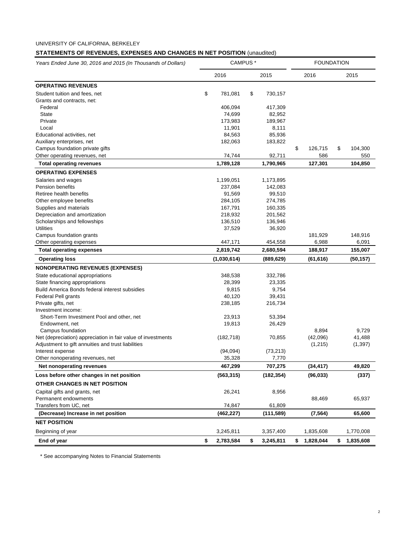## **STATEMENTS OF REVENUES, EXPENSES AND CHANGES IN NET POSITION** (unaudited)

| Years Ended June 30, 2016 and 2015 (In Thousands of Dollars) | CAMPUS <sup>*</sup> |             |    |            | <b>FOUNDATION</b> |           |    |           |  |
|--------------------------------------------------------------|---------------------|-------------|----|------------|-------------------|-----------|----|-----------|--|
|                                                              | 2016<br>2015        |             |    | 2016       |                   | 2015      |    |           |  |
| <b>OPERATING REVENUES</b>                                    |                     |             |    |            |                   |           |    |           |  |
| Student tuition and fees, net                                | \$                  | 781,081     | \$ | 730,157    |                   |           |    |           |  |
| Grants and contracts, net:                                   |                     |             |    |            |                   |           |    |           |  |
| Federal                                                      |                     | 406,094     |    | 417,309    |                   |           |    |           |  |
| <b>State</b>                                                 |                     | 74,699      |    | 82,952     |                   |           |    |           |  |
| Private                                                      |                     | 173,983     |    | 189,967    |                   |           |    |           |  |
| Local                                                        |                     | 11,901      |    | 8,111      |                   |           |    |           |  |
| Educational activities, net                                  |                     | 84,563      |    | 85,936     |                   |           |    |           |  |
| Auxiliary enterprises, net                                   |                     | 182,063     |    | 183,822    |                   |           |    |           |  |
| Campus foundation private gifts                              |                     |             |    |            | \$                | 126,715   | \$ | 104,300   |  |
| Other operating revenues, net                                |                     | 74,744      |    | 92,711     |                   | 586       |    | 550       |  |
| <b>Total operating revenues</b>                              |                     | 1,789,128   |    | 1,790,965  |                   | 127,301   |    | 104,850   |  |
| <b>OPERATING EXPENSES</b>                                    |                     |             |    |            |                   |           |    |           |  |
| Salaries and wages                                           |                     | 1,199,051   |    | 1,173,895  |                   |           |    |           |  |
| Pension benefits                                             |                     | 237,084     |    | 142,083    |                   |           |    |           |  |
| Retiree health benefits                                      |                     | 91,569      |    | 99,510     |                   |           |    |           |  |
| Other employee benefits                                      |                     | 284,105     |    | 274,785    |                   |           |    |           |  |
| Supplies and materials                                       |                     | 167,791     |    | 160,335    |                   |           |    |           |  |
| Depreciation and amortization                                |                     | 218,932     |    | 201,562    |                   |           |    |           |  |
| Scholarships and fellowships                                 |                     | 136,510     |    | 136,946    |                   |           |    |           |  |
| <b>Utilities</b>                                             |                     | 37,529      |    | 36,920     |                   |           |    |           |  |
| Campus foundation grants                                     |                     |             |    |            |                   | 181,929   |    | 148,916   |  |
| Other operating expenses                                     |                     | 447,171     |    | 454,558    |                   | 6,988     |    | 6,091     |  |
| <b>Total operating expenses</b>                              |                     | 2,819,742   |    | 2,680,594  |                   | 188,917   |    | 155,007   |  |
| <b>Operating loss</b>                                        |                     | (1,030,614) |    | (889,629)  |                   | (61, 616) |    | (50, 157) |  |
| <b>NONOPERATING REVENUES (EXPENSES)</b>                      |                     |             |    |            |                   |           |    |           |  |
| State educational appropriations                             |                     | 348,538     |    | 332,786    |                   |           |    |           |  |
| State financing appropriations                               |                     | 28,399      |    | 23,335     |                   |           |    |           |  |
| Build America Bonds federal interest subsidies               |                     | 9,815       |    | 9,754      |                   |           |    |           |  |
| Federal Pell grants                                          |                     | 40,120      |    | 39,431     |                   |           |    |           |  |
| Private gifts, net                                           |                     | 238,185     |    | 216,734    |                   |           |    |           |  |
| Investment income:                                           |                     |             |    |            |                   |           |    |           |  |
| Short-Term Investment Pool and other, net                    |                     | 23,913      |    | 53,394     |                   |           |    |           |  |
| Endowment, net                                               |                     | 19,813      |    | 26,429     |                   |           |    |           |  |
| Campus foundation                                            |                     |             |    |            |                   | 8,894     |    | 9,729     |  |
| Net (depreciation) appreciation in fair value of investments |                     | (182, 718)  |    | 70,855     |                   | (42,096)  |    | 41,488    |  |
| Adjustment to gift annuities and trust liabilities           |                     |             |    |            |                   | (1,215)   |    | (1, 397)  |  |
| Interest expense                                             |                     | (94,094)    |    | (73, 213)  |                   |           |    |           |  |
| Other nonoperating revenues, net                             |                     | 35,328      |    | 7,770      |                   |           |    |           |  |
| Net nonoperating revenues                                    |                     | 467,299     |    | 707,275    |                   | (34, 417) |    | 49,820    |  |
| Loss before other changes in net position                    |                     | (563, 315)  |    | (182, 354) |                   | (96, 033) |    | (337)     |  |
| OTHER CHANGES IN NET POSITION                                |                     |             |    |            |                   |           |    |           |  |
| Capital gifts and grants, net                                |                     | 26,241      |    | 8,956      |                   |           |    |           |  |
| Permanent endowments                                         |                     |             |    |            |                   | 88,469    |    | 65,937    |  |
| Transfers from UC, net                                       |                     | 74,847      |    | 61,809     |                   | (7, 564)  |    |           |  |
| (Decrease) Increase in net position                          |                     | (462,227)   |    | (111, 589) |                   |           |    | 65,600    |  |
| <b>NET POSITION</b>                                          |                     |             |    |            |                   |           |    |           |  |
| Beginning of year                                            |                     | 3,245,811   |    | 3,357,400  |                   | 1,835,608 |    | 1,770,008 |  |
| End of year                                                  | \$                  | 2,783,584   | \$ | 3,245,811  | \$                | 1,828,044 | \$ | 1,835,608 |  |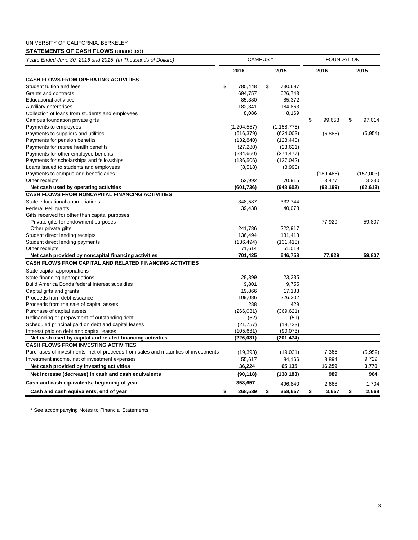# UNIVERSITY OF CALIFORNIA, BERKELEY

# **STATEMENTS OF CASH FLOWS** (unaudited)

| Years Ended June 30, 2016 and 2015 (In Thousands of Dollars) |  |
|--------------------------------------------------------------|--|
|--------------------------------------------------------------|--|

| Years Ended June 30, 2016 and 2015 (In Thousands of Dollars)                       | CAMPUS * |               |    |               | <b>FOUNDATION</b> |            |    |           |  |
|------------------------------------------------------------------------------------|----------|---------------|----|---------------|-------------------|------------|----|-----------|--|
|                                                                                    |          | 2016          |    | 2015          |                   | 2016       |    | 2015      |  |
| <b>CASH FLOWS FROM OPERATING ACTIVITIES</b>                                        |          |               |    |               |                   |            |    |           |  |
| Student tuition and fees                                                           | \$       | 785,448       | \$ | 730,687       |                   |            |    |           |  |
| Grants and contracts                                                               |          | 694,757       |    | 626,743       |                   |            |    |           |  |
| <b>Educational activities</b>                                                      |          | 85,380        |    | 85,372        |                   |            |    |           |  |
| Auxiliary enterprises                                                              |          | 182,341       |    | 184,863       |                   |            |    |           |  |
| Collection of loans from students and employees                                    |          | 8,086         |    | 8,169         |                   |            |    |           |  |
| Campus foundation private gifts                                                    |          |               |    |               | \$                | 99,658     | \$ | 97,014    |  |
| Payments to employees                                                              |          | (1, 204, 557) |    | (1, 158, 775) |                   |            |    |           |  |
| Payments to suppliers and utilities                                                |          | (616, 379)    |    | (624,003)     |                   | (6,868)    |    | (5,954)   |  |
| Payments for pension benefits                                                      |          | (132, 840)    |    | (128, 440)    |                   |            |    |           |  |
| Payments for retiree health benefits                                               |          | (27, 280)     |    | (23, 621)     |                   |            |    |           |  |
| Payments for other employee benefits                                               |          | (284, 660)    |    | (274, 477)    |                   |            |    |           |  |
| Payments for scholarships and fellowships                                          |          | (136, 506)    |    | (137, 042)    |                   |            |    |           |  |
| Loans issued to students and employees                                             |          | (8, 518)      |    | (8,993)       |                   |            |    |           |  |
| Payments to campus and beneficiaries                                               |          |               |    |               |                   | (189, 466) |    | (157,003) |  |
| Other receipts                                                                     |          | 52,992        |    | 70,915        |                   | 3,477      |    | 3,330     |  |
| Net cash used by operating activities                                              |          | (601, 736)    |    | (648, 602)    |                   | (93, 199)  |    | (62, 613) |  |
| <b>CASH FLOWS FROM NONCAPITAL FINANCING ACTIVITIES</b>                             |          |               |    |               |                   |            |    |           |  |
| State educational appropriations                                                   |          | 348,587       |    | 332,744       |                   |            |    |           |  |
| Federal Pell grants                                                                |          | 39,438        |    | 40,078        |                   |            |    |           |  |
| Gifts received for other than capital purposes:                                    |          |               |    |               |                   |            |    |           |  |
| Private gifts for endowment purposes                                               |          |               |    |               |                   | 77,929     |    | 59,807    |  |
| Other private gifts                                                                |          | 241,786       |    | 222,917       |                   |            |    |           |  |
| Student direct lending receipts                                                    |          | 136,494       |    | 131,413       |                   |            |    |           |  |
| Student direct lending payments                                                    |          | (136, 494)    |    | (131, 413)    |                   |            |    |           |  |
| Other receipts                                                                     |          | 71,614        |    | 51,019        |                   |            |    |           |  |
| Net cash provided by noncapital financing activities                               |          | 701,425       |    | 646,758       |                   | 77,929     |    | 59,807    |  |
| <b>CASH FLOWS FROM CAPITAL AND RELATED FINANCING ACTIVITIES</b>                    |          |               |    |               |                   |            |    |           |  |
| State capital appropriations                                                       |          |               |    |               |                   |            |    |           |  |
| State financing appropriations                                                     |          | 28,399        |    | 23,335        |                   |            |    |           |  |
| Build America Bonds federal interest subsidies                                     |          | 9,801         |    | 9,755         |                   |            |    |           |  |
| Capital gifts and grants                                                           |          | 19,866        |    | 17,183        |                   |            |    |           |  |
| Proceeds from debt issuance                                                        |          | 109,086       |    | 226,302       |                   |            |    |           |  |
| Proceeds from the sale of capital assets                                           |          | 288           |    | 429           |                   |            |    |           |  |
| Purchase of capital assets                                                         |          | (266, 031)    |    | (369, 621)    |                   |            |    |           |  |
| Refinancing or prepayment of outstanding debt                                      |          | (52)          |    | (51)          |                   |            |    |           |  |
| Scheduled principal paid on debt and capital leases                                |          | (21, 757)     |    | (18, 733)     |                   |            |    |           |  |
| Interest paid on debt and capital leases                                           |          | (105, 631)    |    | (90,073)      |                   |            |    |           |  |
| Net cash used by capital and related financing activities                          |          | (226, 031)    |    | (201, 474)    |                   |            |    |           |  |
| <b>CASH FLOWS FROM INVESTING ACTIVITIES</b>                                        |          |               |    |               |                   |            |    |           |  |
| Purchases of investments, net of proceeds from sales and maturities of investments |          | (19, 393)     |    | (19,031)      |                   | 7,365      |    | (5,959)   |  |
| Investment income, net of investment expenses                                      |          | 55,617        |    | 84,166        |                   | 8,894      |    | 9,729     |  |
| Net cash provided by investing activities                                          |          | 36,224        |    | 65,135        |                   | 16,259     |    | 3,770     |  |
| Net increase (decrease) in cash and cash equivalents                               |          | (90, 118)     |    | (138, 183)    |                   | 989        |    | 964       |  |
| Cash and cash equivalents, beginning of year                                       |          | 358,657       |    | 496,840       |                   | 2,668      |    | 1,704     |  |
| Cash and cash equivalents, end of year                                             | \$       | 268,539       | \$ | 358,657       | \$                | 3,657      | \$ | 2,668     |  |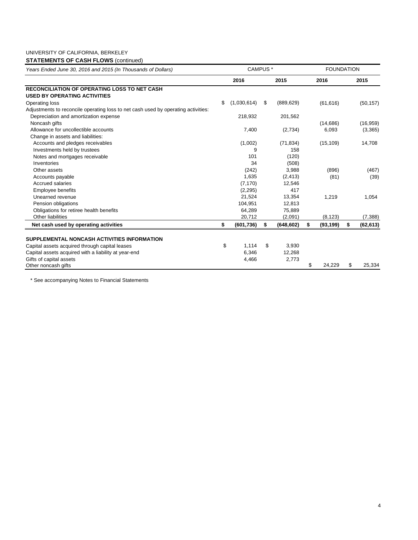## UNIVERSITY OF CALIFORNIA, BERKELEY

# **STATEMENTS OF CASH FLOWS (continued)**

| Years Ended June 30, 2016 and 2015 (In Thousands of Dollars)                      | CAMPUS <sup>*</sup> |    | <b>FOUNDATION</b> |    |           |    |           |
|-----------------------------------------------------------------------------------|---------------------|----|-------------------|----|-----------|----|-----------|
|                                                                                   | 2016                |    | 2015              |    | 2016      |    | 2015      |
| <b>RECONCILIATION OF OPERATING LOSS TO NET CASH</b>                               |                     |    |                   |    |           |    |           |
| <b>USED BY OPERATING ACTIVITIES</b>                                               |                     |    |                   |    |           |    |           |
| Operating loss                                                                    | \$<br>(1,030,614)   | \$ | (889, 629)        |    | (61, 616) |    | (50, 157) |
| Adjustments to reconcile operating loss to net cash used by operating activities: |                     |    |                   |    |           |    |           |
| Depreciation and amortization expense                                             | 218,932             |    | 201,562           |    |           |    |           |
| Noncash gifts                                                                     |                     |    |                   |    | (14,686)  |    | (16, 959) |
| Allowance for uncollectible accounts                                              | 7,400               |    | (2,734)           |    | 6,093     |    | (3,365)   |
| Change in assets and liabilities:                                                 |                     |    |                   |    |           |    |           |
| Accounts and pledges receivables                                                  | (1,002)             |    | (71, 834)         |    | (15, 109) |    | 14,708    |
| Investments held by trustees                                                      | 9                   |    | 158               |    |           |    |           |
| Notes and mortgages receivable                                                    | 101                 |    | (120)             |    |           |    |           |
| Inventories                                                                       | 34                  |    | (508)             |    |           |    |           |
| Other assets                                                                      | (242)               |    | 3,988             |    | (896)     |    | (467)     |
| Accounts payable                                                                  | 1,635               |    | (2, 413)          |    | (81)      |    | (39)      |
| <b>Accrued salaries</b>                                                           | (7, 170)            |    | 12,546            |    |           |    |           |
| Employee benefits                                                                 | (2, 295)            |    | 417               |    |           |    |           |
| Unearned revenue                                                                  | 21,524              |    | 13,354            |    | 1,219     |    | 1,054     |
| Pension obligations                                                               | 104,951             |    | 12,813            |    |           |    |           |
| Obligations for retiree health benefits                                           | 64.289              |    | 75,889            |    |           |    |           |
| <b>Other liabilities</b>                                                          | 20,712              |    | (2,091)           |    | (8, 123)  |    | (7, 388)  |
| Net cash used by operating activities                                             | \$<br>(601, 736)    | \$ | (648, 602)        | \$ | (93, 199) | \$ | (62, 613) |
|                                                                                   |                     |    |                   |    |           |    |           |
| SUPPLEMENTAL NONCASH ACTIVITIES INFORMATION                                       |                     |    |                   |    |           |    |           |
| Capital assets acquired through capital leases                                    | \$<br>1,114         | \$ | 3,930             |    |           |    |           |
| Capital assets acquired with a liability at year-end                              | 6,346               |    | 12,268            |    |           |    |           |
| Gifts of capital assets                                                           | 4,466               |    | 2,773             |    |           |    |           |
| Other noncash gifts                                                               |                     |    |                   | \$ | 24,229    | \$ | 25,334    |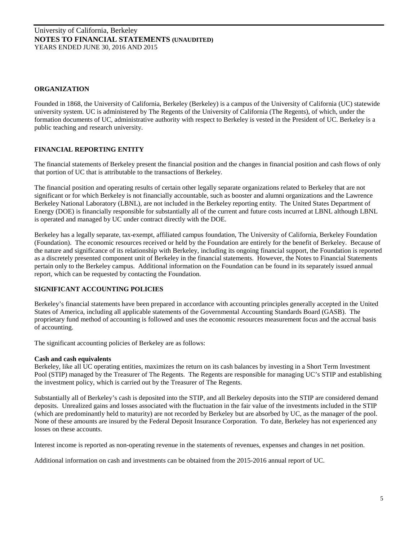## **ORGANIZATION**

Founded in 1868, the University of California, Berkeley (Berkeley) is a campus of the University of California (UC) statewide university system. UC is administered by The Regents of the University of California (The Regents), of which, under the formation documents of UC, administrative authority with respect to Berkeley is vested in the President of UC. Berkeley is a public teaching and research university.

## **FINANCIAL REPORTING ENTITY**

The financial statements of Berkeley present the financial position and the changes in financial position and cash flows of only that portion of UC that is attributable to the transactions of Berkeley.

The financial position and operating results of certain other legally separate organizations related to Berkeley that are not significant or for which Berkeley is not financially accountable, such as booster and alumni organizations and the Lawrence Berkeley National Laboratory (LBNL), are not included in the Berkeley reporting entity. The United States Department of Energy (DOE) is financially responsible for substantially all of the current and future costs incurred at LBNL although LBNL is operated and managed by UC under contract directly with the DOE.

Berkeley has a legally separate, tax-exempt, affiliated campus foundation, The University of California, Berkeley Foundation (Foundation). The economic resources received or held by the Foundation are entirely for the benefit of Berkeley. Because of the nature and significance of its relationship with Berkeley, including its ongoing financial support, the Foundation is reported as a discretely presented component unit of Berkeley in the financial statements. However, the Notes to Financial Statements pertain only to the Berkeley campus. Additional information on the Foundation can be found in its separately issued annual report, which can be requested by contacting the Foundation.

## **SIGNIFICANT ACCOUNTING POLICIES**

Berkeley's financial statements have been prepared in accordance with accounting principles generally accepted in the United States of America, including all applicable statements of the Governmental Accounting Standards Board (GASB). The proprietary fund method of accounting is followed and uses the economic resources measurement focus and the accrual basis of accounting.

The significant accounting policies of Berkeley are as follows:

#### **Cash and cash equivalents**

Berkeley, like all UC operating entities, maximizes the return on its cash balances by investing in a Short Term Investment Pool (STIP) managed by the Treasurer of The Regents. The Regents are responsible for managing UC's STIP and establishing the investment policy, which is carried out by the Treasurer of The Regents.

Substantially all of Berkeley's cash is deposited into the STIP, and all Berkeley deposits into the STIP are considered demand deposits. Unrealized gains and losses associated with the fluctuation in the fair value of the investments included in the STIP (which are predominantly held to maturity) are not recorded by Berkeley but are absorbed by UC, as the manager of the pool. None of these amounts are insured by the Federal Deposit Insurance Corporation. To date, Berkeley has not experienced any losses on these accounts.

Interest income is reported as non-operating revenue in the statements of revenues, expenses and changes in net position.

Additional information on cash and investments can be obtained from the 2015-2016 annual report of UC.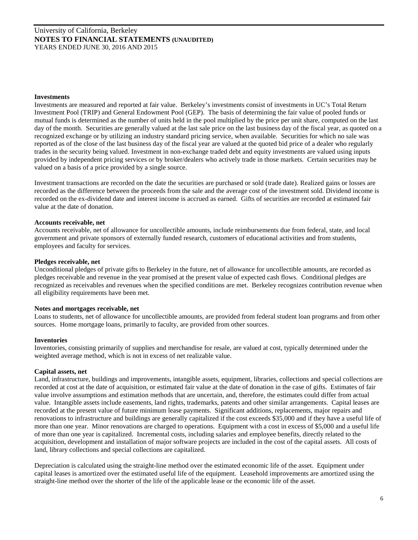#### **Investments**

Investments are measured and reported at fair value. Berkeley's investments consist of investments in UC's Total Return Investment Pool (TRIP) and General Endowment Pool (GEP). The basis of determining the fair value of pooled funds or mutual funds is determined as the number of units held in the pool multiplied by the price per unit share, computed on the last day of the month. Securities are generally valued at the last sale price on the last business day of the fiscal year, as quoted on a recognized exchange or by utilizing an industry standard pricing service, when available. Securities for which no sale was reported as of the close of the last business day of the fiscal year are valued at the quoted bid price of a dealer who regularly trades in the security being valued. Investment in non-exchange traded debt and equity investments are valued using inputs provided by independent pricing services or by broker/dealers who actively trade in those markets. Certain securities may be valued on a basis of a price provided by a single source.

Investment transactions are recorded on the date the securities are purchased or sold (trade date). Realized gains or losses are recorded as the difference between the proceeds from the sale and the average cost of the investment sold. Dividend income is recorded on the ex-dividend date and interest income is accrued as earned. Gifts of securities are recorded at estimated fair value at the date of donation.

#### **Accounts receivable, net**

Accounts receivable, net of allowance for uncollectible amounts, include reimbursements due from federal, state, and local government and private sponsors of externally funded research, customers of educational activities and from students, employees and faculty for services.

#### **Pledges receivable, net**

Unconditional pledges of private gifts to Berkeley in the future, net of allowance for uncollectible amounts, are recorded as pledges receivable and revenue in the year promised at the present value of expected cash flows. Conditional pledges are recognized as receivables and revenues when the specified conditions are met. Berkeley recognizes contribution revenue when all eligibility requirements have been met.

#### **Notes and mortgages receivable, net**

Loans to students, net of allowance for uncollectible amounts, are provided from federal student loan programs and from other sources. Home mortgage loans, primarily to faculty, are provided from other sources.

#### **Inventories**

Inventories, consisting primarily of supplies and merchandise for resale, are valued at cost, typically determined under the weighted average method, which is not in excess of net realizable value.

#### **Capital assets, net**

Land, infrastructure, buildings and improvements, intangible assets, equipment, libraries, collections and special collections are recorded at cost at the date of acquisition, or estimated fair value at the date of donation in the case of gifts. Estimates of fair value involve assumptions and estimation methods that are uncertain, and, therefore, the estimates could differ from actual value. Intangible assets include easements, land rights, trademarks, patents and other similar arrangements. Capital leases are recorded at the present value of future minimum lease payments. Significant additions, replacements, major repairs and renovations to infrastructure and buildings are generally capitalized if the cost exceeds \$35,000 and if they have a useful life of more than one year. Minor renovations are charged to operations. Equipment with a cost in excess of \$5,000 and a useful life of more than one year is capitalized. Incremental costs, including salaries and employee benefits, directly related to the acquisition, development and installation of major software projects are included in the cost of the capital assets. All costs of land, library collections and special collections are capitalized.

Depreciation is calculated using the straight-line method over the estimated economic life of the asset. Equipment under capital leases is amortized over the estimated useful life of the equipment. Leasehold improvements are amortized using the straight-line method over the shorter of the life of the applicable lease or the economic life of the asset.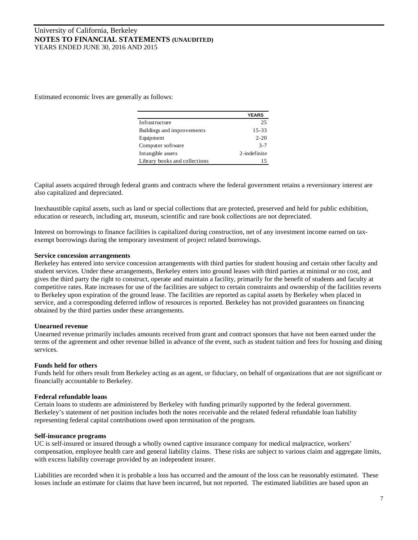Estimated economic lives are generally as follows:

|                               | <b>YEARS</b> |
|-------------------------------|--------------|
| Infrastructure                | 25           |
| Buildings and improvements    | 15-33        |
| Equipment                     | $2 - 20$     |
| Computer software             | $3 - 7$      |
| Intangible assets             | 2-indefinite |
| Library books and collections | 15           |

Capital assets acquired through federal grants and contracts where the federal government retains a reversionary interest are also capitalized and depreciated.

Inexhaustible capital assets, such as land or special collections that are protected, preserved and held for public exhibition, education or research, including art, museum, scientific and rare book collections are not depreciated.

Interest on borrowings to finance facilities is capitalized during construction, net of any investment income earned on taxexempt borrowings during the temporary investment of project related borrowings.

## **Service concession arrangements**

Berkeley has entered into service concession arrangements with third parties for student housing and certain other faculty and student services. Under these arrangements, Berkeley enters into ground leases with third parties at minimal or no cost, and gives the third party the right to construct, operate and maintain a facility, primarily for the benefit of students and faculty at competitive rates. Rate increases for use of the facilities are subject to certain constraints and ownership of the facilities reverts to Berkeley upon expiration of the ground lease. The facilities are reported as capital assets by Berkeley when placed in service, and a corresponding deferred inflow of resources is reported. Berkeley has not provided guarantees on financing obtained by the third parties under these arrangements.

## **Unearned revenue**

Unearned revenue primarily includes amounts received from grant and contract sponsors that have not been earned under the terms of the agreement and other revenue billed in advance of the event, such as student tuition and fees for housing and dining services.

## **Funds held for others**

Funds held for others result from Berkeley acting as an agent, or fiduciary, on behalf of organizations that are not significant or financially accountable to Berkeley.

#### **Federal refundable loans**

Certain loans to students are administered by Berkeley with funding primarily supported by the federal government. Berkeley's statement of net position includes both the notes receivable and the related federal refundable loan liability representing federal capital contributions owed upon termination of the program.

#### **Self-insurance programs**

UC is self-insured or insured through a wholly owned captive insurance company for medical malpractice, workers' compensation, employee health care and general liability claims. These risks are subject to various claim and aggregate limits, with excess liability coverage provided by an independent insurer.

Liabilities are recorded when it is probable a loss has occurred and the amount of the loss can be reasonably estimated. These losses include an estimate for claims that have been incurred, but not reported. The estimated liabilities are based upon an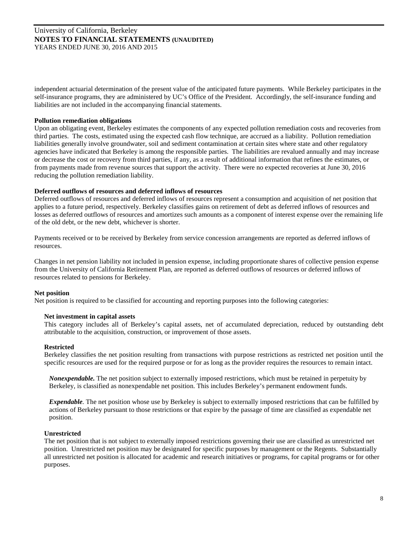independent actuarial determination of the present value of the anticipated future payments. While Berkeley participates in the self-insurance programs, they are administered by UC's Office of the President. Accordingly, the self-insurance funding and liabilities are not included in the accompanying financial statements.

## **Pollution remediation obligations**

Upon an obligating event, Berkeley estimates the components of any expected pollution remediation costs and recoveries from third parties. The costs, estimated using the expected cash flow technique, are accrued as a liability. Pollution remediation liabilities generally involve groundwater, soil and sediment contamination at certain sites where state and other regulatory agencies have indicated that Berkeley is among the responsible parties. The liabilities are revalued annually and may increase or decrease the cost or recovery from third parties, if any, as a result of additional information that refines the estimates, or from payments made from revenue sources that support the activity. There were no expected recoveries at June 30, 2016 reducing the pollution remediation liability.

## **Deferred outflows of resources and deferred inflows of resources**

Deferred outflows of resources and deferred inflows of resources represent a consumption and acquisition of net position that applies to a future period, respectively. Berkeley classifies gains on retirement of debt as deferred inflows of resources and losses as deferred outflows of resources and amortizes such amounts as a component of interest expense over the remaining life of the old debt, or the new debt, whichever is shorter.

Payments received or to be received by Berkeley from service concession arrangements are reported as deferred inflows of resources.

Changes in net pension liability not included in pension expense, including proportionate shares of collective pension expense from the University of California Retirement Plan, are reported as deferred outflows of resources or deferred inflows of resources related to pensions for Berkeley.

#### **Net position**

Net position is required to be classified for accounting and reporting purposes into the following categories:

#### **Net investment in capital assets**

This category includes all of Berkeley's capital assets, net of accumulated depreciation, reduced by outstanding debt attributable to the acquisition, construction, or improvement of those assets.

#### **Restricted**

Berkeley classifies the net position resulting from transactions with purpose restrictions as restricted net position until the specific resources are used for the required purpose or for as long as the provider requires the resources to remain intact.

*Nonexpendable.* The net position subject to externally imposed restrictions, which must be retained in perpetuity by Berkeley, is classified as nonexpendable net position. This includes Berkeley's permanent endowment funds.

*Expendable.* The net position whose use by Berkeley is subject to externally imposed restrictions that can be fulfilled by actions of Berkeley pursuant to those restrictions or that expire by the passage of time are classified as expendable net position.

## **Unrestricted**

The net position that is not subject to externally imposed restrictions governing their use are classified as unrestricted net position. Unrestricted net position may be designated for specific purposes by management or the Regents. Substantially all unrestricted net position is allocated for academic and research initiatives or programs, for capital programs or for other purposes.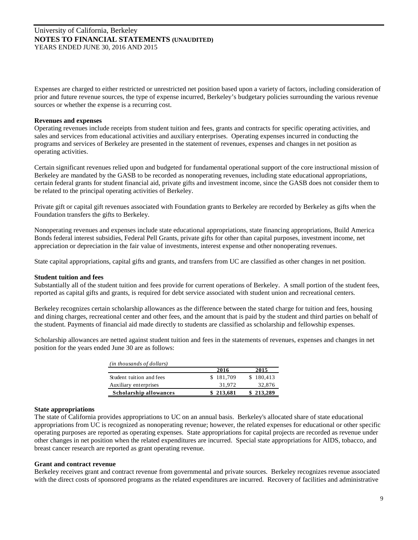Expenses are charged to either restricted or unrestricted net position based upon a variety of factors, including consideration of prior and future revenue sources, the type of expense incurred, Berkeley's budgetary policies surrounding the various revenue sources or whether the expense is a recurring cost.

#### **Revenues and expenses**

Operating revenues include receipts from student tuition and fees, grants and contracts for specific operating activities, and sales and services from educational activities and auxiliary enterprises. Operating expenses incurred in conducting the programs and services of Berkeley are presented in the statement of revenues, expenses and changes in net position as operating activities.

Certain significant revenues relied upon and budgeted for fundamental operational support of the core instructional mission of Berkeley are mandated by the GASB to be recorded as nonoperating revenues, including state educational appropriations, certain federal grants for student financial aid, private gifts and investment income, since the GASB does not consider them to be related to the principal operating activities of Berkeley.

Private gift or capital gift revenues associated with Foundation grants to Berkeley are recorded by Berkeley as gifts when the Foundation transfers the gifts to Berkeley.

Nonoperating revenues and expenses include state educational appropriations, state financing appropriations, Build America Bonds federal interest subsidies, Federal Pell Grants, private gifts for other than capital purposes, investment income, net appreciation or depreciation in the fair value of investments, interest expense and other nonoperating revenues.

State capital appropriations, capital gifts and grants, and transfers from UC are classified as other changes in net position.

## **Student tuition and fees**

Substantially all of the student tuition and fees provide for current operations of Berkeley. A small portion of the student fees, reported as capital gifts and grants, is required for debt service associated with student union and recreational centers.

Berkeley recognizes certain scholarship allowances as the difference between the stated charge for tuition and fees, housing and dining charges, recreational center and other fees, and the amount that is paid by the student and third parties on behalf of the student. Payments of financial aid made directly to students are classified as scholarship and fellowship expenses.

Scholarship allowances are netted against student tuition and fees in the statements of revenues, expenses and changes in net position for the years ended June 30 are as follows:

| (in thousands of dollars)     |           |           |
|-------------------------------|-----------|-----------|
|                               | 2016      | 2015      |
| Student tuition and fees      | \$181,709 | \$180,413 |
| Auxiliary enterprises         | 31,972    | 32,876    |
| <b>Scholarship allowances</b> | \$213,681 | \$213,289 |

#### **State appropriations**

The state of California provides appropriations to UC on an annual basis. Berkeley's allocated share of state educational appropriations from UC is recognized as nonoperating revenue; however, the related expenses for educational or other specific operating purposes are reported as operating expenses. State appropriations for capital projects are recorded as revenue under other changes in net position when the related expenditures are incurred. Special state appropriations for AIDS, tobacco, and breast cancer research are reported as grant operating revenue.

#### **Grant and contract revenue**

Berkeley receives grant and contract revenue from governmental and private sources. Berkeley recognizes revenue associated with the direct costs of sponsored programs as the related expenditures are incurred. Recovery of facilities and administrative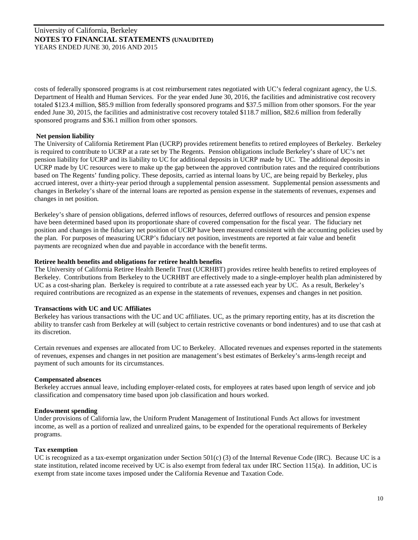costs of federally sponsored programs is at cost reimbursement rates negotiated with UC's federal cognizant agency, the U.S. Department of Health and Human Services. For the year ended June 30, 2016, the facilities and administrative cost recovery totaled \$123.4 million, \$85.9 million from federally sponsored programs and \$37.5 million from other sponsors. For the year ended June 30, 2015, the facilities and administrative cost recovery totaled \$118.7 million, \$82.6 million from federally sponsored programs and \$36.1 million from other sponsors.

## **Net pension liability**

The University of California Retirement Plan (UCRP) provides retirement benefits to retired employees of Berkeley. Berkeley is required to contribute to UCRP at a rate set by The Regents. Pension obligations include Berkeley's share of UC's net pension liability for UCRP and its liability to UC for additional deposits in UCRP made by UC. The additional deposits in UCRP made by UC resources were to make up the gap between the approved contribution rates and the required contributions based on The Regents' funding policy. These deposits, carried as internal loans by UC, are being repaid by Berkeley, plus accrued interest, over a thirty-year period through a supplemental pension assessment. Supplemental pension assessments and changes in Berkeley's share of the internal loans are reported as pension expense in the statements of revenues, expenses and changes in net position.

Berkeley's share of pension obligations, deferred inflows of resources, deferred outflows of resources and pension expense have been determined based upon its proportionate share of covered compensation for the fiscal year. The fiduciary net position and changes in the fiduciary net position of UCRP have been measured consistent with the accounting policies used by the plan. For purposes of measuring UCRP's fiduciary net position, investments are reported at fair value and benefit payments are recognized when due and payable in accordance with the benefit terms.

## **Retiree health benefits and obligations for retiree health benefits**

The University of California Retiree Health Benefit Trust (UCRHBT) provides retiree health benefits to retired employees of Berkeley. Contributions from Berkeley to the UCRHBT are effectively made to a single-employer health plan administered by UC as a cost-sharing plan. Berkeley is required to contribute at a rate assessed each year by UC. As a result, Berkeley's required contributions are recognized as an expense in the statements of revenues, expenses and changes in net position.

#### **Transactions with UC and UC Affiliates**

Berkeley has various transactions with the UC and UC affiliates. UC, as the primary reporting entity, has at its discretion the ability to transfer cash from Berkeley at will (subject to certain restrictive covenants or bond indentures) and to use that cash at its discretion.

Certain revenues and expenses are allocated from UC to Berkeley. Allocated revenues and expenses reported in the statements of revenues, expenses and changes in net position are management's best estimates of Berkeley's arms-length receipt and payment of such amounts for its circumstances.

#### **Compensated absences**

Berkeley accrues annual leave, including employer-related costs, for employees at rates based upon length of service and job classification and compensatory time based upon job classification and hours worked.

## **Endowment spending**

Under provisions of California law, the Uniform Prudent Management of Institutional Funds Act allows for investment income, as well as a portion of realized and unrealized gains, to be expended for the operational requirements of Berkeley programs.

#### **Tax exemption**

UC is recognized as a tax-exempt organization under Section 501(c) (3) of the Internal Revenue Code (IRC). Because UC is a state institution, related income received by UC is also exempt from federal tax under IRC Section 115(a). In addition, UC is exempt from state income taxes imposed under the California Revenue and Taxation Code.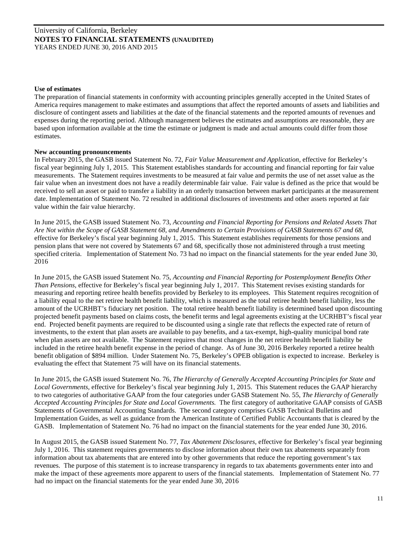#### **Use of estimates**

The preparation of financial statements in conformity with accounting principles generally accepted in the United States of America requires management to make estimates and assumptions that affect the reported amounts of assets and liabilities and disclosure of contingent assets and liabilities at the date of the financial statements and the reported amounts of revenues and expenses during the reporting period. Although management believes the estimates and assumptions are reasonable, they are based upon information available at the time the estimate or judgment is made and actual amounts could differ from those estimates.

#### **New accounting pronouncements**

In February 2015, the GASB issued Statement No. 72, *Fair Value Measurement and Application,* effective for Berkeley's fiscal year beginning July 1, 2015. This Statement establishes standards for accounting and financial reporting for fair value measurements. The Statement requires investments to be measured at fair value and permits the use of net asset value as the fair value when an investment does not have a readily determinable fair value. Fair value is defined as the price that would be received to sell an asset or paid to transfer a liability in an orderly transaction between market participants at the measurement date. Implementation of Statement No. 72 resulted in additional disclosures of investments and other assets reported at fair value within the fair value hierarchy.

In June 2015, the GASB issued Statement No. 73, *Accounting and Financial Reporting for Pensions and Related Assets That Are Not within the Scope of GASB Statement 68, and Amendments to Certain Provisions of GASB Statements 67 and 68,*  effective for Berkeley's fiscal year beginning July 1, 2015. This Statement establishes requirements for those pensions and pension plans that were not covered by Statements 67 and 68, specifically those not administered through a trust meeting specified criteria. Implementation of Statement No. 73 had no impact on the financial statements for the year ended June 30, 2016

In June 2015, the GASB issued Statement No. 75, *Accounting and Financial Reporting for Postemployment Benefits Other Than Pensions,* effective for Berkeley's fiscal year beginning July 1, 2017. This Statement revises existing standards for measuring and reporting retiree health benefits provided by Berkeley to its employees. This Statement requires recognition of a liability equal to the net retiree health benefit liability, which is measured as the total retiree health benefit liability, less the amount of the UCRHBT's fiduciary net position. The total retiree health benefit liability is determined based upon discounting projected benefit payments based on claims costs, the benefit terms and legal agreements existing at the UCRHBT's fiscal year end. Projected benefit payments are required to be discounted using a single rate that reflects the expected rate of return of investments, to the extent that plan assets are available to pay benefits, and a tax-exempt, high-quality municipal bond rate when plan assets are not available. The Statement requires that most changes in the net retiree health benefit liability be included in the retiree health benefit expense in the period of change. As of June 30, 2016 Berkeley reported a retiree health benefit obligation of \$894 million. Under Statement No. 75, Berkeley's OPEB obligation is expected to increase. Berkeley is evaluating the effect that Statement 75 will have on its financial statements.

In June 2015, the GASB issued Statement No. 76, *The Hierarchy of Generally Accepted Accounting Principles for State and Local Governments,* effective for Berkeley's fiscal year beginning July 1, 2015. This Statement reduces the GAAP hierarchy to two categories of authoritative GAAP from the four categories under GASB Statement No. 55, *The Hierarchy of Generally Accepted Accounting Principles for State and Local Governments.* The first category of authoritative GAAP consists of GASB Statements of Governmental Accounting Standards. The second category comprises GASB Technical Bulletins and Implementation Guides, as well as guidance from the American Institute of Certified Public Accountants that is cleared by the GASB. Implementation of Statement No. 76 had no impact on the financial statements for the year ended June 30, 2016.

In August 2015, the GASB issued Statement No. 77, *Tax Abatement Disclosures,* effective for Berkeley's fiscal year beginning July 1, 2016. This statement requires governments to disclose information about their own tax abatements separately from information about tax abatements that are entered into by other governments that reduce the reporting government's tax revenues. The purpose of this statement is to increase transparency in regards to tax abatements governments enter into and make the impact of these agreements more apparent to users of the financial statements. Implementation of Statement No. 77 had no impact on the financial statements for the year ended June 30, 2016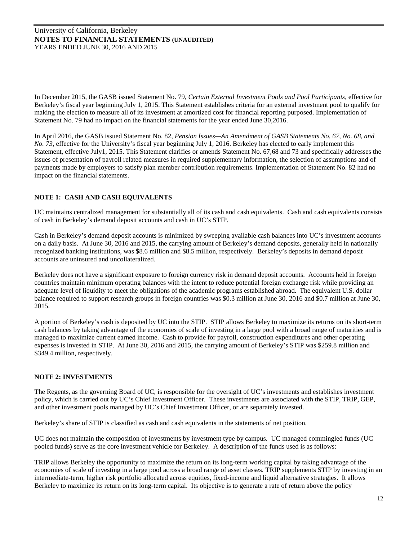In December 2015, the GASB issued Statement No. 79, *Certain External Investment Pools and Pool Participants*, effective for Berkeley's fiscal year beginning July 1, 2015. This Statement establishes criteria for an external investment pool to qualify for making the election to measure all of its investment at amortized cost for financial reporting purposed. Implementation of Statement No. 79 had no impact on the financial statements for the year ended June 30,2016.

In April 2016, the GASB issued Statement No. 82, *Pension Issues—An Amendment of GASB Statements No. 67, No. 68, and No. 73*, effective for the University's fiscal year beginning July 1, 2016. Berkeley has elected to early implement this Statement, effective July1, 2015. This Statement clarifies or amends Statement No. 67,68 and 73 and specifically addresses the issues of presentation of payroll related measures in required supplementary information, the selection of assumptions and of payments made by employers to satisfy plan member contribution requirements. Implementation of Statement No. 82 had no impact on the financial statements.

# **NOTE 1: CASH AND CASH EQUIVALENTS**

UC maintains centralized management for substantially all of its cash and cash equivalents. Cash and cash equivalents consists of cash in Berkeley's demand deposit accounts and cash in UC's STIP.

Cash in Berkeley's demand deposit accounts is minimized by sweeping available cash balances into UC's investment accounts on a daily basis. At June 30, 2016 and 2015, the carrying amount of Berkeley's demand deposits, generally held in nationally recognized banking institutions, was \$8.6 million and \$8.5 million, respectively. Berkeley's deposits in demand deposit accounts are uninsured and uncollateralized.

Berkeley does not have a significant exposure to foreign currency risk in demand deposit accounts. Accounts held in foreign countries maintain minimum operating balances with the intent to reduce potential foreign exchange risk while providing an adequate level of liquidity to meet the obligations of the academic programs established abroad. The equivalent U.S. dollar balance required to support research groups in foreign countries was \$0.3 million at June 30, 2016 and \$0.7 million at June 30, 2015.

A portion of Berkeley's cash is deposited by UC into the STIP. STIP allows Berkeley to maximize its returns on its short-term cash balances by taking advantage of the economies of scale of investing in a large pool with a broad range of maturities and is managed to maximize current earned income. Cash to provide for payroll, construction expenditures and other operating expenses is invested in STIP. At June 30, 2016 and 2015, the carrying amount of Berkeley's STIP was \$259.8 million and \$349.4 million, respectively.

## **NOTE 2: INVESTMENTS**

The Regents, as the governing Board of UC, is responsible for the oversight of UC's investments and establishes investment policy, which is carried out by UC's Chief Investment Officer. These investments are associated with the STIP, TRIP, GEP, and other investment pools managed by UC's Chief Investment Officer, or are separately invested.

Berkeley's share of STIP is classified as cash and cash equivalents in the statements of net position.

UC does not maintain the composition of investments by investment type by campus. UC managed commingled funds (UC pooled funds) serve as the core investment vehicle for Berkeley. A description of the funds used is as follows:

TRIP allows Berkeley the opportunity to maximize the return on its long-term working capital by taking advantage of the economies of scale of investing in a large pool across a broad range of asset classes. TRIP supplements STIP by investing in an intermediate-term, higher risk portfolio allocated across equities, fixed-income and liquid alternative strategies. It allows Berkeley to maximize its return on its long-term capital. Its objective is to generate a rate of return above the policy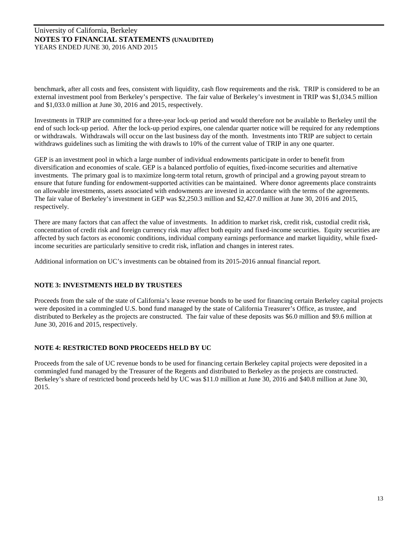benchmark, after all costs and fees, consistent with liquidity, cash flow requirements and the risk. TRIP is considered to be an external investment pool from Berkeley's perspective. The fair value of Berkeley's investment in TRIP was \$1,034.5 million and \$1,033.0 million at June 30, 2016 and 2015, respectively.

Investments in TRIP are committed for a three-year lock-up period and would therefore not be available to Berkeley until the end of such lock-up period. After the lock-up period expires, one calendar quarter notice will be required for any redemptions or withdrawals. Withdrawals will occur on the last business day of the month. Investments into TRIP are subject to certain withdraws guidelines such as limiting the with drawls to 10% of the current value of TRIP in any one quarter.

GEP is an investment pool in which a large number of individual endowments participate in order to benefit from diversification and economies of scale. GEP is a balanced portfolio of equities, fixed-income securities and alternative investments. The primary goal is to maximize long-term total return, growth of principal and a growing payout stream to ensure that future funding for endowment-supported activities can be maintained. Where donor agreements place constraints on allowable investments, assets associated with endowments are invested in accordance with the terms of the agreements. The fair value of Berkeley's investment in GEP was \$2,250.3 million and \$2,427.0 million at June 30, 2016 and 2015, respectively.

There are many factors that can affect the value of investments. In addition to market risk, credit risk, custodial credit risk, concentration of credit risk and foreign currency risk may affect both equity and fixed-income securities. Equity securities are affected by such factors as economic conditions, individual company earnings performance and market liquidity, while fixedincome securities are particularly sensitive to credit risk, inflation and changes in interest rates.

Additional information on UC's investments can be obtained from its 2015-2016 annual financial report.

# **NOTE 3: INVESTMENTS HELD BY TRUSTEES**

Proceeds from the sale of the state of California's lease revenue bonds to be used for financing certain Berkeley capital projects were deposited in a commingled U.S. bond fund managed by the state of California Treasurer's Office, as trustee, and distributed to Berkeley as the projects are constructed. The fair value of these deposits was \$6.0 million and \$9.6 million at June 30, 2016 and 2015, respectively.

## **NOTE 4: RESTRICTED BOND PROCEEDS HELD BY UC**

Proceeds from the sale of UC revenue bonds to be used for financing certain Berkeley capital projects were deposited in a commingled fund managed by the Treasurer of the Regents and distributed to Berkeley as the projects are constructed. Berkeley's share of restricted bond proceeds held by UC was \$11.0 million at June 30, 2016 and \$40.8 million at June 30, 2015.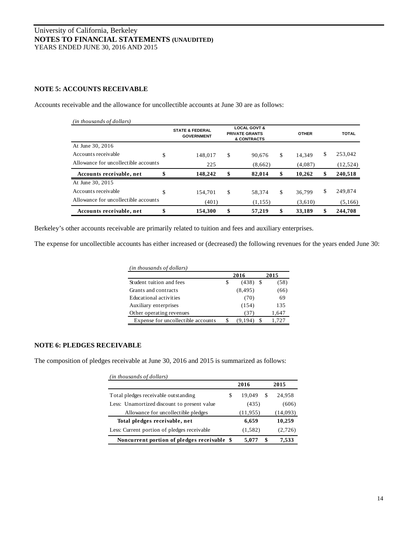# **NOTE 5: ACCOUNTS RECEIVABLE**

| (in thousands of dollars)            |                                                 |                                                                 |          |              |         |               |  |  |  |  |              |              |
|--------------------------------------|-------------------------------------------------|-----------------------------------------------------------------|----------|--------------|---------|---------------|--|--|--|--|--------------|--------------|
|                                      | <b>STATE &amp; FEDERAL</b><br><b>GOVERNMENT</b> | <b>LOCAL GOVT &amp;</b><br><b>PRIVATE GRANTS</b><br>& CONTRACTS |          |              |         |               |  |  |  |  | <b>OTHER</b> | <b>TOTAL</b> |
| At June 30, 2016                     |                                                 |                                                                 |          |              |         |               |  |  |  |  |              |              |
| Accounts receivable                  | \$<br>148,017                                   | \$                                                              | 90.676   | \$           | 14.349  | \$<br>253.042 |  |  |  |  |              |              |
| Allowance for uncollectible accounts | 225                                             |                                                                 | (8,662)  |              | (4,087) | (12, 524)     |  |  |  |  |              |              |
| Accounts receivable, net             | \$<br>148,242                                   | \$                                                              | 82,014   | \$           | 10.262  | \$<br>240,518 |  |  |  |  |              |              |
| At June 30, 2015                     |                                                 |                                                                 |          |              |         |               |  |  |  |  |              |              |
| Accounts receivable                  | \$<br>154.701                                   | \$                                                              | 58.374   | $\mathbb{S}$ | 36.799  | \$<br>249.874 |  |  |  |  |              |              |
| Allowance for uncollectible accounts | (401)                                           |                                                                 | (1, 155) |              | (3,610) | (5,166)       |  |  |  |  |              |              |
| Accounts receivable, net             | \$<br>154,300                                   | \$                                                              | 57,219   | \$           | 33,189  | \$<br>244,708 |  |  |  |  |              |              |

Accounts receivable and the allowance for uncollectible accounts at June 30 are as follows:

Berkeley's other accounts receivable are primarily related to tuition and fees and auxiliary enterprises.

The expense for uncollectible accounts has either increased or (decreased) the following revenues for the years ended June 30:

| (in thousands of dollars)          |   |          |      |       |
|------------------------------------|---|----------|------|-------|
|                                    |   | 2016     |      | 2015  |
| Student tuition and fees           | S | (438)    | - \$ | (58)  |
| Grants and contracts               |   | (8, 495) |      | (66)  |
| Educational activities             |   | (70)     |      | 69    |
| Auxiliary enterprises              |   | (154)    |      | 135   |
| Other operating revenues           |   | (37)     |      | 1,647 |
| Expense for uncollectible accounts |   | (9.194)  | \$.  | 1,727 |

# **NOTE 6: PLEDGES RECEIVABLE**

The composition of pledges receivable at June 30, 2016 and 2015 is summarized as follows:

| (in thousands of dollars)                   |       |           |   |          |
|---------------------------------------------|-------|-----------|---|----------|
|                                             |       | 2016      |   | 2015     |
| Total pledges receivable outstanding        | S     | 19.049    | S | 24.958   |
| Less: Unamortized discount to present value | (435) |           |   | (606)    |
| Allowance for uncollectible pledges         |       | (11, 955) |   | (14,093) |
| Total pledges receivable, net               |       | 6,659     |   | 10,259   |
| Less: Current portion of pledges receivable |       | (1, 582)  |   | (2,726)  |
| Noncurrent portion of pledges receivable \$ |       | 5.077     |   | 7,533    |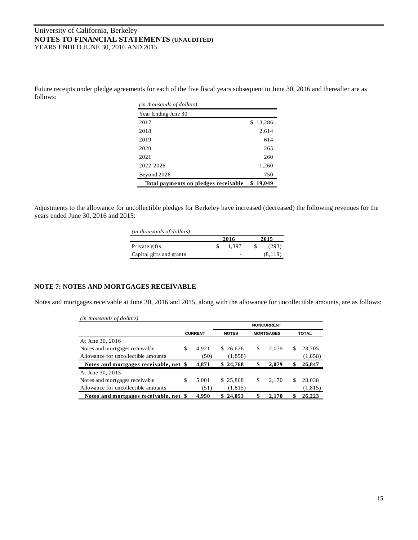Future receipts under pledge agreements for each of the five fiscal years subsequent to June 30, 2016 and thereafter are as follows:

| ( <i>in thousands of dollars</i> )   |             |
|--------------------------------------|-------------|
| Year Ending June 30                  |             |
| 2017                                 | 13,286<br>S |
| 2018                                 | 2,614       |
| 2019                                 | 614         |
| 2020                                 | 265         |
| 2021                                 | 260         |
| 2022-2026                            | 1,260       |
| Beyond 2026                          | 750         |
| Total payments on pledges receivable | 19,049      |

Adjustments to the allowance for uncollectible pledges for Berkeley have increased (decreased) the following revenues for the years ended June 30, 2016 and 2015:

| (in thousands of dollars) |       |         |
|---------------------------|-------|---------|
|                           | 2016  | 2015    |
| Private gifts             | 1.397 | (293)   |
| Capital gifts and grants  | ۰     | (8,119) |

## **NOTE 7: NOTES AND MORTGAGES RECEIVABLE**

Notes and mortgages receivable at June 30, 2016 and 2015, along with the allowance for uncollectible amounts, are as follows:

| (in thousands of dollars)              |                |                                  |          |    |       |              |          |  |
|----------------------------------------|----------------|----------------------------------|----------|----|-------|--------------|----------|--|
|                                        |                | <b>NONCURRENT</b>                |          |    |       |              |          |  |
|                                        | <b>CURRENT</b> | <b>MORTGAGES</b><br><b>NOTES</b> |          |    |       | <b>TOTAL</b> |          |  |
| At June 30, 2016                       |                |                                  |          |    |       |              |          |  |
| Notes and mortgages receivable         | \$<br>4.921    |                                  | \$26.626 | \$ | 2.079 | S            | 28,705   |  |
| Allowance for uncollectible amounts    | (50)           |                                  | (1, 858) |    |       |              | (1,858)  |  |
| Notes and mortgages receivable, net \$ | 4,871          |                                  | \$24,768 | \$ | 2,079 | \$           | 26,847   |  |
| At June 30, 2015                       |                |                                  |          |    |       |              |          |  |
| Notes and mortgages receivable         | \$<br>5,001    |                                  | \$25,868 | \$ | 2,170 | S            | 28,038   |  |
| Allowance for uncollectible amounts    | (51)           |                                  | (1, 815) |    |       |              | (1, 815) |  |
| Notes and mortgages receivable, net \$ | 4.950          | S                                | 24,053   | \$ | 2,170 | \$           | 26,223   |  |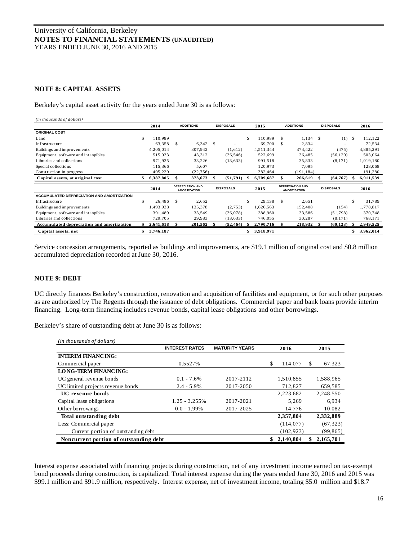## **NOTE 8: CAPITAL ASSETS**

Berkeley's capital asset activity for the years ended June 30 is as follows:

| (in thousands of dollars)                        |    |           |               |                                                |      |                  |      |           |               |                                                |                  |                 |
|--------------------------------------------------|----|-----------|---------------|------------------------------------------------|------|------------------|------|-----------|---------------|------------------------------------------------|------------------|-----------------|
|                                                  |    | 2014      |               | <b>ADDITIONS</b>                               |      | <b>DISPOSALS</b> |      | 2015      |               | <b>ADDITIONS</b>                               | <b>DISPOSALS</b> | 2016            |
| <b>ORIGINAL COST</b>                             |    |           |               |                                                |      |                  |      |           |               |                                                |                  |                 |
| Land                                             | S  | 110.989   |               |                                                |      |                  | \$   | 110,989   | \$.           | 1,134                                          | \$<br>(1)        | \$<br>112,122   |
| Infrastructure                                   |    | 63,358    | <sup>\$</sup> | $6,342$ \$                                     |      |                  |      | 69,700    | \$            | 2,834                                          |                  | 72,534          |
| Buildings and improvements                       |    | 4,205,014 |               | 307,942                                        |      | (1,612)          |      | 4,511,344 |               | 374,422                                        | (475)            | 4,885,291       |
| Equipment, software and intangibles              |    | 515,933   |               | 43,312                                         |      | (36, 546)        |      | 522,699   |               | 36,485                                         | (56, 120)        | 503,064         |
| Libraries and collections                        |    | 971,925   |               | 33,226                                         |      | (13, 633)        |      | 991,518   |               | 35,833                                         | (8,171)          | 1,019,180       |
| Special collections                              |    | 115,366   |               | 5,607                                          |      |                  |      | 120,973   |               | 7,095                                          |                  | 128,068         |
| Construction in progress                         |    | 405,220   |               | (22, 756)                                      |      |                  |      | 382,464   |               | (191, 184)                                     |                  | 191,280         |
| Capital assets, at original cost                 |    | 6,387,805 |               | 373,673                                        |      | (51,791)         | - 56 | 6,709,687 |               | 266,619                                        | (64, 767)        | 6,911,539       |
|                                                  |    | 2014      |               | <b>DEPRECIATION AND</b><br><b>AMORTIZATION</b> |      | <b>DISPOSALS</b> |      | 2015      |               | <b>DEPRECIATION AND</b><br><b>AMORTIZATION</b> | <b>DISPOSALS</b> | 2016            |
| <b>ACCUMULATED DEPRECIATION AND AMORTIZATION</b> |    |           |               |                                                |      |                  |      |           |               |                                                |                  |                 |
| Infrastructure                                   | S. | 26,486    | - \$          | 2,652                                          |      |                  | \$   | 29,138    | <sup>\$</sup> | 2,651                                          |                  | \$<br>31,789    |
| Buildings and improvements                       |    | 1,493,938 |               | 135,378                                        |      | (2,753)          |      | 1,626,563 |               | 152,408                                        | (154)            | 1,778,817       |
| Equipment, software and intangibles              |    | 391,489   |               | 33,549                                         |      | (36,078)         |      | 388,960   |               | 33,586                                         | (51,798)         | 370,748         |
| Libraries and collections                        |    | 729,705   |               | 29,983                                         |      | (13, 633)        |      | 746,055   |               | 30,287                                         | (8,171)          | 768,171         |
| Accumulated depreciation and amortization        |    | 2,641,618 | \$            | 201,562                                        | - 96 | (52, 464)        |      | 2,790,716 | ж.            | 218,932                                        | \$<br>(60, 123)  | 2,949,525       |
| Capital assets, net                              | \$ | 3,746,187 |               |                                                |      |                  | \$   | 3,918,971 |               |                                                |                  | \$<br>3,962,014 |

Service concession arrangements, reported as buildings and improvements, are \$19.1 million of original cost and \$0.8 million accumulated depreciation recorded at June 30, 2016.

## **NOTE 9: DEBT**

UC directly finances Berkeley's construction, renovation and acquisition of facilities and equipment, or for such other purposes as are authorized by The Regents through the issuance of debt obligations. Commercial paper and bank loans provide interim financing. Long-term financing includes revenue bonds, capital lease obligations and other borrowings.

| (in thousands of dollars)              |                       |                       |               |              |
|----------------------------------------|-----------------------|-----------------------|---------------|--------------|
|                                        | <b>INTEREST RATES</b> | <b>MATURITY YEARS</b> | 2016          | 2015         |
| <b>INTERIM FINANCING:</b>              |                       |                       |               |              |
| Commercial paper                       | 0.5527%               |                       | \$<br>114,077 | \$<br>67,323 |
| <b>LONG-TERM FINANCING:</b>            |                       |                       |               |              |
| UC general revenue bonds               | $0.1 - 7.6\%$         | 2017-2112             | 1,510,855     | 1,588,965    |
| UC limited projects revenue bonds      | $2.4 - 5.9\%$         | 2017-2050             | 712,827       | 659,585      |
| UC revenue bonds                       |                       |                       | 2,223,682     | 2.248.550    |
| Capital lease obligations              | $1.25 - 3.255\%$      | 2017-2021             | 5.269         | 6.934        |
| Other borrowings                       | $0.0 - 1.99\%$        | 2017-2025             | 14,776        | 10,082       |
| Total outstanding debt                 |                       |                       | 2,357,804     | 2,332,889    |
| Less: Commercial paper                 |                       |                       | (114, 077)    | (67, 323)    |
| Current portion of outstanding debt    |                       |                       | (102, 923)    | (99, 865)    |
| Noncurrent portion of outstanding debt |                       |                       | 2,140,804     | 2,165,701    |

Berkeley's share of outstanding debt at June 30 is as follows:

Interest expense associated with financing projects during construction, net of any investment income earned on tax-exempt bond proceeds during construction, is capitalized. Total interest expense during the years ended June 30, 2016 and 2015 was \$99.1 million and \$91.9 million, respectively. Interest expense, net of investment income, totaling \$5.0 million and \$18.7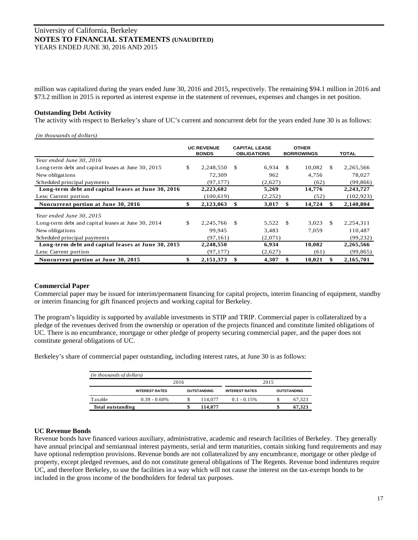million was capitalized during the years ended June 30, 2016 and 2015, respectively. The remaining \$94.1 million in 2016 and \$73.2 million in 2015 is reported as interest expense in the statement of revenues, expenses and changes in net position.

## **Outstanding Debt Activity**

*(in thousands of dollars)*

The activity with respect to Berkeley's share of UC's current and noncurrent debt for the years ended June 30 is as follows:

| un inousanas of aouars)                            |                                   |              |                                            |         |                                   |        |     |              |  |
|----------------------------------------------------|-----------------------------------|--------------|--------------------------------------------|---------|-----------------------------------|--------|-----|--------------|--|
|                                                    | <b>UC REVENUE</b><br><b>BONDS</b> |              | <b>CAPITAL LEASE</b><br><b>OBLIGATIONS</b> |         | <b>OTHER</b><br><b>BORROWINGS</b> |        |     | <b>TOTAL</b> |  |
| Year ended June 30, 2016                           |                                   |              |                                            |         |                                   |        |     |              |  |
| Long-term debt and capital leases at June 30, 2015 | \$                                | 2,248,550    | S.                                         | 6,934   | -S                                | 10,082 | \$. | 2,265,566    |  |
| New obligations                                    |                                   | 72,309       |                                            | 962     |                                   | 4,756  |     | 78,027       |  |
| Scheduled principal payments                       |                                   | (97, 177)    |                                            | (2,627) |                                   | (62)   |     | (99, 866)    |  |
| Long-term debt and capital leases at June 30, 2016 |                                   | 2,223,682    |                                            | 5,269   |                                   | 14,776 |     | 2,243,727    |  |
| Less: Current portion                              |                                   | (100, 619)   |                                            | (2,252) |                                   | (52)   |     | (102, 923)   |  |
| Noncurrent portion at June 30, 2016                |                                   | 2,123,063    | \$                                         | 3,017   | \$                                | 14,724 | S   | 2,140,804    |  |
| Year ended June 30, 2015                           |                                   |              |                                            |         |                                   |        |     |              |  |
| Long-term debt and capital leases at June 30, 2014 | \$                                | 2,245,766 \$ |                                            | 5,522   | £.                                | 3,023  | £.  | 2,254,311    |  |
| New obligations                                    |                                   | 99,945       |                                            | 3,483   |                                   | 7,059  |     | 110,487      |  |
| Scheduled principal payments                       |                                   | (97.161)     |                                            | (2,071) |                                   |        |     | (99, 232)    |  |
| Long-term debt and capital leases at June 30, 2015 |                                   | 2,248,550    |                                            | 6,934   |                                   | 10,082 |     | 2,265,566    |  |
| Less: Current portion                              |                                   | (97, 177)    |                                            | (2,627) |                                   | (61)   |     | (99, 865)    |  |
| Noncurrent portion at June 30, 2015                |                                   | 2,151,373    | \$                                         | 4,307   | \$                                | 10,021 |     | 2,165,701    |  |

#### **Commercial Paper**

Commercial paper may be issued for interim/permanent financing for capital projects, interim financing of equipment, standby or interim financing for gift financed projects and working capital for Berkeley.

The program's liquidity is supported by available investments in STIP and TRIP. Commercial paper is collateralized by a pledge of the revenues derived from the ownership or operation of the projects financed and constitute limited obligations of UC. There is no encumbrance, mortgage or other pledge of property securing commercial paper, and the paper does not constitute general obligations of UC.

Berkeley's share of commercial paper outstanding, including interest rates, at June 30 is as follows:

| (in thousands of dollars) |                       |                    |         |                       |  |                    |  |  |  |  |
|---------------------------|-----------------------|--------------------|---------|-----------------------|--|--------------------|--|--|--|--|
|                           | 2016                  | 2015               |         |                       |  |                    |  |  |  |  |
|                           | <b>INTEREST RATES</b> | <b>OUTSTANDING</b> |         | <b>INTEREST RATES</b> |  | <b>OUTSTANDING</b> |  |  |  |  |
| Taxable                   | $0.39 - 0.60\%$       |                    | 114,077 | $0.1 - 0.15\%$        |  | 67.323             |  |  |  |  |
| Total outstanding         |                       |                    | 114.077 |                       |  | 67,323             |  |  |  |  |

## **UC Revenue Bonds**

Revenue bonds have financed various auxiliary, administrative, academic and research facilities of Berkeley. They generally have annual principal and semiannual interest payments, serial and term maturities, contain sinking fund requirements and may have optional redemption provisions. Revenue bonds are not collateralized by any encumbrance, mortgage or other pledge of property, except pledged revenues, and do not constitute general obligations of The Regents. Revenue bond indentures require UC, and therefore Berkeley, to use the facilities in a way which will not cause the interest on the tax-exempt bonds to be included in the gross income of the bondholders for federal tax purposes.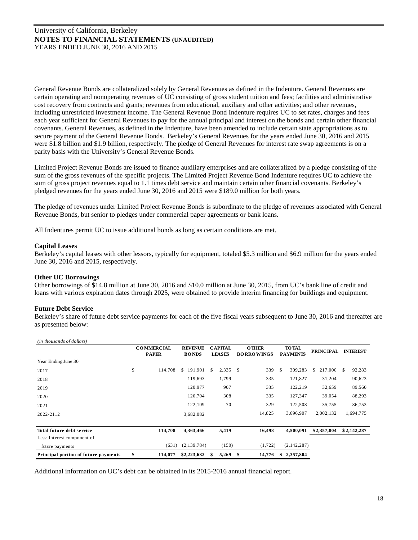General Revenue Bonds are collateralized solely by General Revenues as defined in the Indenture. General Revenues are certain operating and nonoperating revenues of UC consisting of gross student tuition and fees; facilities and administrative cost recovery from contracts and grants; revenues from educational, auxiliary and other activities; and other revenues, including unrestricted investment income. The General Revenue Bond Indenture requires UC to set rates, charges and fees each year sufficient for General Revenues to pay for the annual principal and interest on the bonds and certain other financial covenants. General Revenues, as defined in the Indenture, have been amended to include certain state appropriations as to secure payment of the General Revenue Bonds. Berkeley's General Revenues for the years ended June 30, 2016 and 2015 were \$1.8 billion and \$1.9 billion, respectively. The pledge of General Revenues for interest rate swap agreements is on a parity basis with the University's General Revenue Bonds.

Limited Project Revenue Bonds are issued to finance auxiliary enterprises and are collateralized by a pledge consisting of the sum of the gross revenues of the specific projects. The Limited Project Revenue Bond Indenture requires UC to achieve the sum of gross project revenues equal to 1.1 times debt service and maintain certain other financial covenants. Berkeley's pledged revenues for the years ended June 30, 2016 and 2015 were \$189.0 million for both years.

The pledge of revenues under Limited Project Revenue Bonds is subordinate to the pledge of revenues associated with General Revenue Bonds, but senior to pledges under commercial paper agreements or bank loans.

All Indentures permit UC to issue additional bonds as long as certain conditions are met.

#### **Capital Leases**

Berkeley's capital leases with other lessors, typically for equipment, totaled \$5.3 million and \$6.9 million for the years ended June 30, 2016 and 2015, respectively.

## **Other UC Borrowings**

Other borrowings of \$14.8 million at June 30, 2016 and \$10.0 million at June 30, 2015, from UC's bank line of credit and loans with various expiration dates through 2025, were obtained to provide interim financing for buildings and equipment.

## **Future Debt Service**

Berkeley's share of future debt service payments for each of the five fiscal years subsequent to June 30, 2016 and thereafter are as presented below:

| <i>m mousanas of abuars</i>          |                   |                |                |     |                   |               |                 |                  |                 |
|--------------------------------------|-------------------|----------------|----------------|-----|-------------------|---------------|-----------------|------------------|-----------------|
|                                      | <b>COMMERCIAL</b> | <b>REVENUE</b> | <b>CAPITAL</b> |     | <b>OTHER</b>      |               | <b>TO TAL</b>   | <b>PRINCIPAL</b> | <b>INTEREST</b> |
|                                      | <b>PAPER</b>      | <b>BONDS</b>   | <b>LEASES</b>  |     | <b>BORROWINGS</b> |               | <b>PAYMENTS</b> |                  |                 |
| Year Ending June 30                  |                   |                |                |     |                   |               |                 |                  |                 |
| 2017                                 | \$<br>114,708     | 191,901<br>\$  | \$<br>2,335    | S.  | 339               | <sup>\$</sup> | 309,283         | 217,000<br>S.    | 92,283<br>-S    |
| 2018                                 |                   | 119,693        | 1,799          |     | 335               |               | 121,827         | 31,204           | 90,623          |
| 2019                                 |                   | 120,977        | 907            |     | 335               |               | 122,219         | 32,659           | 89,560          |
| 2020                                 |                   | 126,704        | 308            |     | 335               |               | 127,347         | 39,054           | 88,293          |
| 2021                                 |                   | 122,109        | 70             |     | 329               |               | 122,508         | 35,755           | 86,753          |
| 2022-2112                            |                   | 3,682,082      |                |     | 14,825            |               | 3,696,907       | 2,002,132        | 1,694,775       |
|                                      |                   |                |                |     |                   |               |                 |                  |                 |
| Total future debt service            | 114,708           | 4,363,466      | 5,419          |     | 16.498            |               | 4,500,091       | \$2,357,804      | \$2,142,287     |
| Less: Interest component of          |                   |                |                |     |                   |               |                 |                  |                 |
| future payments                      | (631)             | (2,139,784)    | (150)          |     | (1,722)           |               | (2,142,287)     |                  |                 |
| Principal portion of future payments | \$<br>114,077     | \$2,223,682    | \$<br>5,269    | -\$ | 14,776            | \$            | 2,357,804       |                  |                 |

*(in thousands of dollars)*

Additional information on UC's debt can be obtained in its 2015-2016 annual financial report.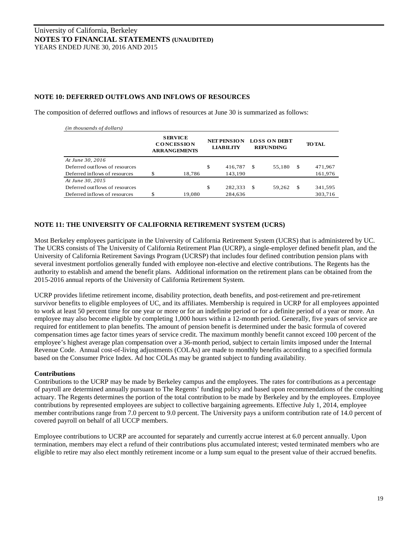## **NOTE 10: DEFERRED OUTFLOWS AND INFLOWS OF RESOURCES**

The composition of deferred outflows and inflows of resources at June 30 is summarized as follows:

| (in thousands of dollars)      |                                                            |                                        |     |                                         |    |               |
|--------------------------------|------------------------------------------------------------|----------------------------------------|-----|-----------------------------------------|----|---------------|
|                                | <b>SERVICE</b><br><b>CONCESSION</b><br><b>ARRANGEMENTS</b> | <b>NET PENSION</b><br><b>LIABILITY</b> |     | <b>LOSS ON DEBT</b><br><b>REFUNDING</b> |    | <b>TO TAL</b> |
| At June 30, 2016               |                                                            |                                        |     |                                         |    |               |
| Deferred outflows of resources |                                                            | \$<br>416.787                          | -\$ | 55,180                                  | \$ | 471,967       |
| Deferred inflows of resources  | \$<br>18.786                                               | 143,190                                |     |                                         |    | 161,976       |
| At June 30, 2015               |                                                            |                                        |     |                                         |    |               |
| Deferred outflows of resources |                                                            | \$<br>282,333                          | -\$ | 59,262                                  | -S | 341,595       |
| Deferred inflows of resources  | \$<br>19.080                                               | 284,636                                |     |                                         |    | 303,716       |

# **NOTE 11: THE UNIVERSITY OF CALIFORNIA RETIREMENT SYSTEM (UCRS)**

Most Berkeley employees participate in the University of California Retirement System (UCRS) that is administered by UC. The UCRS consists of The University of California Retirement Plan (UCRP), a single-employer defined benefit plan, and the University of California Retirement Savings Program (UCRSP) that includes four defined contribution pension plans with several investment portfolios generally funded with employee non-elective and elective contributions. The Regents has the authority to establish and amend the benefit plans. Additional information on the retirement plans can be obtained from the 2015-2016 annual reports of the University of California Retirement System.

UCRP provides lifetime retirement income, disability protection, death benefits, and post-retirement and pre-retirement survivor benefits to eligible employees of UC, and its affiliates. Membership is required in UCRP for all employees appointed to work at least 50 percent time for one year or more or for an indefinite period or for a definite period of a year or more. An employee may also become eligible by completing 1,000 hours within a 12-month period. Generally, five years of service are required for entitlement to plan benefits. The amount of pension benefit is determined under the basic formula of covered compensation times age factor times years of service credit. The maximum monthly benefit cannot exceed 100 percent of the employee's highest average plan compensation over a 36-month period, subject to certain limits imposed under the Internal Revenue Code. Annual cost-of-living adjustments (COLAs) are made to monthly benefits according to a specified formula based on the Consumer Price Index. Ad hoc COLAs may be granted subject to funding availability.

#### **Contributions**

Contributions to the UCRP may be made by Berkeley campus and the employees. The rates for contributions as a percentage of payroll are determined annually pursuant to The Regents' funding policy and based upon recommendations of the consulting actuary. The Regents determines the portion of the total contribution to be made by Berkeley and by the employees. Employee contributions by represented employees are subject to collective bargaining agreements. Effective July 1, 2014, employee member contributions range from 7.0 percent to 9.0 percent. The University pays a uniform contribution rate of 14.0 percent of covered payroll on behalf of all UCCP members.

Employee contributions to UCRP are accounted for separately and currently accrue interest at 6.0 percent annually. Upon termination, members may elect a refund of their contributions plus accumulated interest; vested terminated members who are eligible to retire may also elect monthly retirement income or a lump sum equal to the present value of their accrued benefits.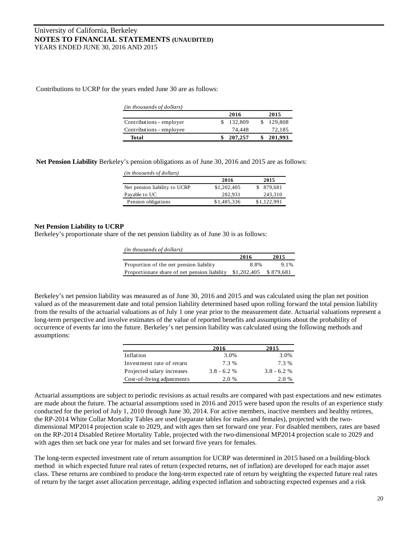Contributions to UCRP for the years ended June 30 are as follows:

| (in thousands of dollars) |         |         |
|---------------------------|---------|---------|
|                           | 2016    | 2015    |
| Contributions - employer  | 132,809 | 129.808 |
| Contributions - employee  | 74.448  | 72,185  |
| <b>Total</b>              | 207,257 | 201,993 |

**Net Pension Liability** Berkeley's pension obligations as of June 30, 2016 and 2015 are as follows:

| (in thousands of dollars)     |             |             |
|-------------------------------|-------------|-------------|
|                               | 2016        | 2015        |
| Net pension liability to UCRP | \$1,202,405 | 879.681     |
| Payable to UC                 | 282.931     | 243,310     |
| Pension obligations           | \$1,485,336 | \$1,122,991 |

## **Net Pension Liability to UCRP**

Berkeley's proportionate share of the net pension liability as of June 30 is as follows:

| (in thousands of dollars)                    |             |           |
|----------------------------------------------|-------------|-----------|
|                                              | 2016        | 2015      |
| Proportion of the net pension liability      | 8.8%        | $9.1\%$   |
| Proportionate share of net pension liability | \$1,202,405 | \$879,681 |

Berkeley's net pension liability was measured as of June 30, 2016 and 2015 and was calculated using the plan net position valued as of the measurement date and total pension liability determined based upon rolling forward the total pension liability from the results of the actuarial valuations as of July 1 one year prior to the measurement date. Actuarial valuations represent a long-term perspective and involve estimates of the value of reported benefits and assumptions about the probability of occurrence of events far into the future. Berkeley's net pension liability was calculated using the following methods and assumptions:

|                            | 2016          | 2015          |
|----------------------------|---------------|---------------|
| Inflation                  | 3.0%          | 3.0%          |
| Investment rate of return  | 7.3 %         | 7.3 %         |
| Projected salary increases | $3.8 - 6.2 %$ | $3.8 - 6.2 %$ |
| Cost-of-living adjustments | 2.0 %         | 2.0 %         |

Actuarial assumptions are subject to periodic revisions as actual results are compared with past expectations and new estimates are made about the future. The actuarial assumptions used in 2016 and 2015 were based upon the results of an experience study conducted for the period of July 1, 2010 through June 30, 2014. For active members, inactive members and healthy retirees, the RP-2014 White Collar Mortality Tables are used (separate tables for males and females), projected with the twodimensional MP2014 projection scale to 2029, and with ages then set forward one year. For disabled members, rates are based on the RP-2014 Disabled Retiree Mortality Table, projected with the two-dimensional MP2014 projection scale to 2029 and with ages then set back one year for males and set forward five years for females.

The long-term expected investment rate of return assumption for UCRP was determined in 2015 based on a building-block method in which expected future real rates of return (expected returns, net of inflation) are developed for each major asset class. These returns are combined to produce the long-term expected rate of return by weighting the expected future real rates of return by the target asset allocation percentage, adding expected inflation and subtracting expected expenses and a risk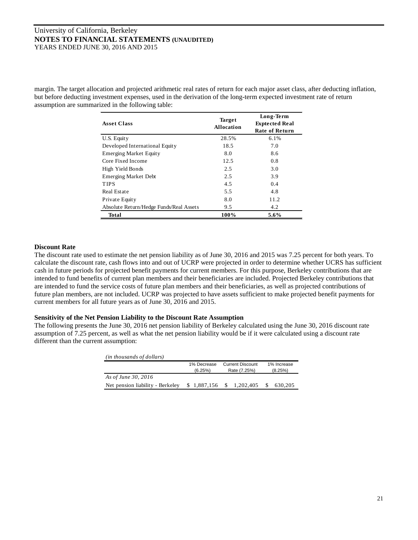margin. The target allocation and projected arithmetic real rates of return for each major asset class, after deducting inflation, but before deducting investment expenses, used in the derivation of the long-term expected investment rate of return assumption are summarized in the following table:

| <b>Asset Class</b>                      | <b>Target</b><br>Allocation | Long-Term<br><b>Exprected Real</b><br><b>Rate of Return</b> |  |
|-----------------------------------------|-----------------------------|-------------------------------------------------------------|--|
| U.S. Equity                             | 28.5%                       | 6.1%                                                        |  |
| Developed International Equity          | 18.5                        | 7.0                                                         |  |
| <b>Emerging Market Equity</b>           | 8.0                         | 8.6                                                         |  |
| Core Fixed Income                       | 12.5                        | 0.8                                                         |  |
| High Yield Bonds                        | 2.5                         | 3.0                                                         |  |
| Emerging Market Debt                    | 2.5                         | 3.9                                                         |  |
| <b>TIPS</b>                             | 4.5                         | 0.4                                                         |  |
| Real Estate                             | 5.5                         | 4.8                                                         |  |
| Private Equity                          | 8.0                         | 11.2                                                        |  |
| Absolute Return/Hedge Funds/Real Assets | 9.5                         | 4.2                                                         |  |
| Total                                   | 100%                        | 5.6%                                                        |  |

## **Discount Rate**

The discount rate used to estimate the net pension liability as of June 30, 2016 and 2015 was 7.25 percent for both years. To calculate the discount rate, cash flows into and out of UCRP were projected in order to determine whether UCRS has sufficient cash in future periods for projected benefit payments for current members. For this purpose, Berkeley contributions that are intended to fund benefits of current plan members and their beneficiaries are included. Projected Berkeley contributions that are intended to fund the service costs of future plan members and their beneficiaries, as well as projected contributions of future plan members, are not included. UCRP was projected to have assets sufficient to make projected benefit payments for current members for all future years as of June 30, 2016 and 2015.

# **Sensitivity of the Net Pension Liability to the Discount Rate Assumption**

The following presents the June 30, 2016 net pension liability of Berkeley calculated using the June 30, 2016 discount rate assumption of 7.25 percent, as well as what the net pension liability would be if it were calculated using a discount rate different than the current assumption:

| (in thousands of dollars)        |             |                           |                         |  |
|----------------------------------|-------------|---------------------------|-------------------------|--|
|                                  | 1% Decrease | <b>Current Discount</b>   | 1% Increase             |  |
|                                  | (6.25%)     | Rate (7.25%)              | (8.25%)                 |  |
| As of June 30, 2016              |             |                           |                         |  |
| Net pension liability - Berkeley |             | $$1,887,156$ $$1,202,405$ | $\mathbb{S}$<br>630.205 |  |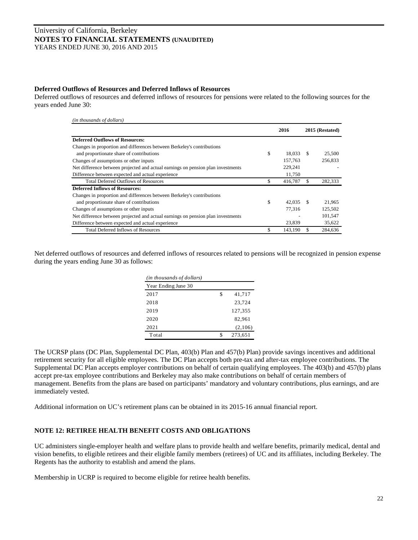## **Deferred Outflows of Resources and Deferred Inflows of Resources**

Deferred outflows of resources and deferred inflows of resources for pensions were related to the following sources for the years ended June 30:

| (in thousands of dollars)                                                        |                   |     |                 |
|----------------------------------------------------------------------------------|-------------------|-----|-----------------|
|                                                                                  | 2016              |     | 2015 (Restated) |
| <b>Deferred Outflows of Resources:</b>                                           |                   |     |                 |
| Changes in proportion and differences between Berkeley's contributions           |                   |     |                 |
| and proportionate share of contributions                                         | \$<br>18.033      | - S | 25,500          |
| Changes of assumptions or other inputs                                           | 157,763           |     | 256,833         |
| Net difference between projected and actual earnings on pension plan investments | 229,241           |     |                 |
| Difference between expected and actual experience                                | 11,750            |     |                 |
| <b>Total Deferred Outflows of Resources</b>                                      | \$<br>416,787     |     | 282,333         |
| <b>Deferred Inflows of Resources:</b>                                            |                   |     |                 |
| Changes in proportion and differences between Berkeley's contributions           |                   |     |                 |
| and proportionate share of contributions                                         | \$<br>$42.035$ \$ |     | 21,965          |
| Changes of assumptions or other inputs                                           | 77.316            |     | 125.502         |
| Net difference between projected and actual earnings on pension plan investments |                   |     | 101,547         |
| Difference between expected and actual experience                                | 23,839            |     | 35,622          |
| <b>Total Deferred Inflows of Resources</b>                                       | \$<br>143.190     |     | 284,636         |

Net deferred outflows of resources and deferred inflows of resources related to pensions will be recognized in pension expense during the years ending June 30 as follows:

| (in thousands of dollars) |   |         |  |  |  |  |
|---------------------------|---|---------|--|--|--|--|
| Year Ending June 30       |   |         |  |  |  |  |
| 2017                      | S | 41,717  |  |  |  |  |
| 2018                      |   | 23,724  |  |  |  |  |
| 2019                      |   | 127,355 |  |  |  |  |
| 2020                      |   | 82.961  |  |  |  |  |
| 2021                      |   | (2,106) |  |  |  |  |
| Total                     |   | 273,651 |  |  |  |  |

The UCRSP plans (DC Plan, Supplemental DC Plan, 403(b) Plan and 457(b) Plan) provide savings incentives and additional retirement security for all eligible employees. The DC Plan accepts both pre-tax and after-tax employee contributions. The Supplemental DC Plan accepts employer contributions on behalf of certain qualifying employees. The 403(b) and 457(b) plans accept pre-tax employee contributions and Berkeley may also make contributions on behalf of certain members of management. Benefits from the plans are based on participants' mandatory and voluntary contributions, plus earnings, and are immediately vested.

Additional information on UC's retirement plans can be obtained in its 2015-16 annual financial report.

## **NOTE 12: RETIREE HEALTH BENEFIT COSTS AND OBLIGATIONS**

UC administers single-employer health and welfare plans to provide health and welfare benefits, primarily medical, dental and vision benefits, to eligible retirees and their eligible family members (retirees) of UC and its affiliates, including Berkeley. The Regents has the authority to establish and amend the plans.

Membership in UCRP is required to become eligible for retiree health benefits.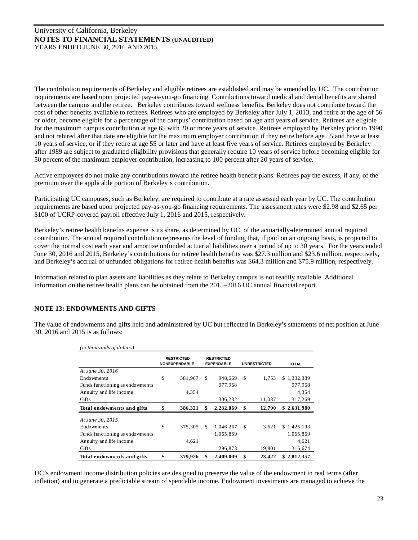The contribution requirements of Berkeley and eligible retirees are established and may be amended by UC. The contribution requirements are based upon projected pay-as-you-go financing. Contributions toward medical and dental benefits are shared between the campus and the retiree. Berkeley contributes toward wellness benefits. Berkeley does not contribute toward the cost of other benefits available to retirees. Retirees who are employed by Berkeley after July 1, 2013, and retire at the age of 56 or older, become eligible for a percentage of the campus' contribution based on age and years of service. Retirees are eligible for the maximum campus contribution at age 65 with 20 or more years of service. Retirees employed by Berkeley prior to 1990 and not rehired after that date are eligible for the maximum employer contribution if they retire before age 55 and have at least 10 years of service, or if they retire at age 55 or later and have at least five years of service. Retirees employed by Berkeley after 1989 are subject to graduated eligibility provisions that generally require 10 years of service before becoming eligible for 50 percent of the maximum employer contribution, increasing to 100 percent after 20 years of service.

Active employees do not make any contributions toward the retiree health benefit plans. Retirees pay the excess, if any, of the premium over the applicable portion of Berkeley's contribution.

Participating UC campuses, such as Berkeley, are required to contribute at a rate assessed each year by UC. The contribution requirements are based upon projected pay-as-you-go financing requirements. The assessment rates were \$2.98 and \$2.65 per \$100 of UCRP-covered payroll effective July 1, 2016 and 2015, respectively.

Berkeley's retiree health benefits expense is its share, as determined by UC, of the actuarially-determined annual required contribution. The annual required contribution represents the level of funding that, if paid on an ongoing basis, is projected to cover the normal cost each year and amortize unfunded actuarial liabilities over a period of up to 30 years. For the years ended June 30, 2016 and 2015, Berkeley's contributions for retiree health benefits was \$27.3 million and \$23.6 million, respectively, and Berkeley's accrual of unfunded obligations for retiree health benefits was \$64.3 million and \$75.9 million, respectively.

Information related to plan assets and liabilities as they relate to Berkeley campus is not readily available. Additional information on the retiree health plans can be obtained from the 2015–2016 UC annual financial report.

# **NOTE 13: ENDOWMENTS AND GIFTS**

The value of endowments and gifts held and administered by UC but reflected in Berkeley's statements of net position at June 30, 2016 and 2015 is as follows:

| (in thousands of dollars)       |                                           |    |                                        |     |                     |              |
|---------------------------------|-------------------------------------------|----|----------------------------------------|-----|---------------------|--------------|
|                                 | <b>RESTRICTED</b><br><b>NONEXPENDABLE</b> |    | <b>RESTRICTED</b><br><b>EXPENDABLE</b> |     | <b>UNRESTRICTED</b> | <b>TOTAL</b> |
| At June 30, 2016                |                                           |    |                                        |     |                     |              |
| Endowments                      | \$<br>381,967                             | S  | 948,669                                | S.  | 1.753               | \$1,332,389  |
| Funds functioning as endowments |                                           |    | 977,968                                |     |                     | 977,968      |
| Annuity and life income         | 4,354                                     |    |                                        |     |                     | 4,354        |
| <b>Gifts</b>                    |                                           |    | 306,232                                |     | 11,037              | 317,269      |
| Total endowments and gifts      | \$<br>386,321                             | \$ | 2,232,869                              | \$  | 12,790              | \$2,631,980  |
| At June 30, 2015                |                                           |    |                                        |     |                     |              |
| Endowments                      | \$<br>375,305                             | \$ | 1,046,267                              | -\$ | 3,621               | \$1,425,193  |
| Funds functioning as endowments |                                           |    | 1,065,869                              |     |                     | 1,065,869    |
| Annuity and life income         | 4,621                                     |    |                                        |     |                     | 4,621        |
| Gifts                           |                                           |    | 296,873                                |     | 19,801              | 316,674      |
| Total endowments and gifts      | \$<br>379,926                             | \$ | 2,409,009                              | \$  | 23,422              | \$2,812,357  |

UC's endowment income distribution policies are designed to preserve the value of the endowment in real terms (after inflation) and to generate a predictable stream of spendable income. Endowment investments are managed to achieve the